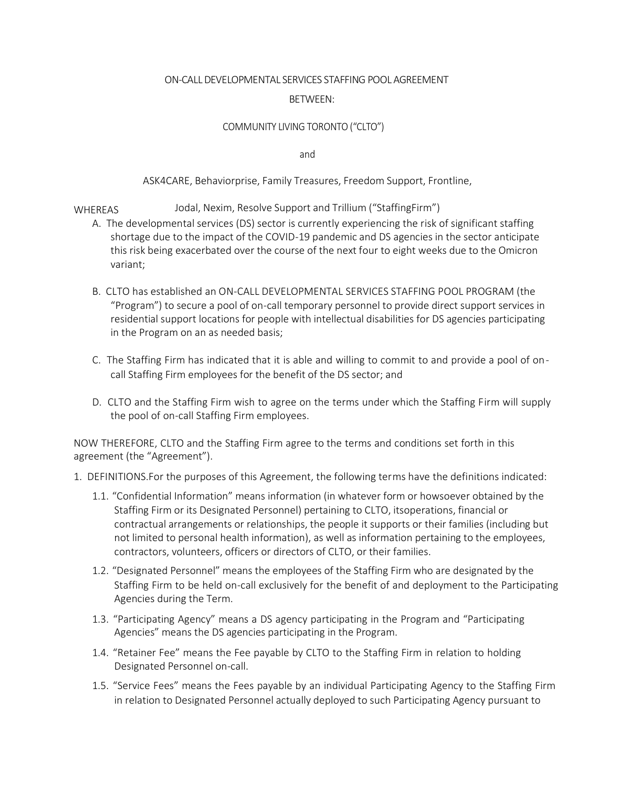#### ON-CALL DEVELOPMENTAL SERVICES STAFFING POOL AGREEMENT

#### BETWEEN:

#### COMMUNITY LIVING TORONTO ("CLTO")

and

### ASK4CARE, Behaviorprise, Family Treasures, Freedom Support, Frontline,

### WHEREAS Jodal, Nexim, Resolve Support and Trillium ("StaffingFirm")

- A. The developmental services (DS) sector is currently experiencing the risk of significant staffing shortage due to the impact of the COVID-19 pandemic and DS agencies in the sector anticipate this risk being exacerbated over the course of the next four to eight weeks due to the Omicron variant;
- B. CLTO has established an ON-CALL DEVELOPMENTAL SERVICES STAFFING POOL PROGRAM (the "Program") to secure a pool of on-call temporary personnel to provide direct support services in residential support locations for people with intellectual disabilities for DS agencies participating in the Program on an as needed basis;
- C. The Staffing Firm has indicated that it is able and willing to commit to and provide a pool of oncall Staffing Firm employees for the benefit of the DS sector; and
- D. CLTO and the Staffing Firm wish to agree on the terms under which the Staffing Firm will supply the pool of on-call Staffing Firm employees.

NOW THEREFORE, CLTO and the Staffing Firm agree to the terms and conditions set forth in this agreement (the "Agreement").

- 1. DEFINITIONS.For the purposes of this Agreement, the following terms have the definitions indicated:
	- 1.1. "Confidential Information" means information (in whatever form or howsoever obtained by the Staffing Firm or its Designated Personnel) pertaining to CLTO, itsoperations, financial or contractual arrangements or relationships, the people it supports or their families (including but not limited to personal health information), as well as information pertaining to the employees, contractors, volunteers, officers or directors of CLTO, or their families.
	- 1.2. "Designated Personnel" means the employees of the Staffing Firm who are designated by the Staffing Firm to be held on-call exclusively for the benefit of and deployment to the Participating Agencies during the Term.
	- 1.3. "Participating Agency" means a DS agency participating in the Program and "Participating Agencies" means the DS agencies participating in the Program.
	- 1.4. "Retainer Fee" means the Fee payable by CLTO to the Staffing Firm in relation to holding Designated Personnel on-call.
	- 1.5. "Service Fees" means the Fees payable by an individual Participating Agency to the Staffing Firm in relation to Designated Personnel actually deployed to such Participating Agency pursuant to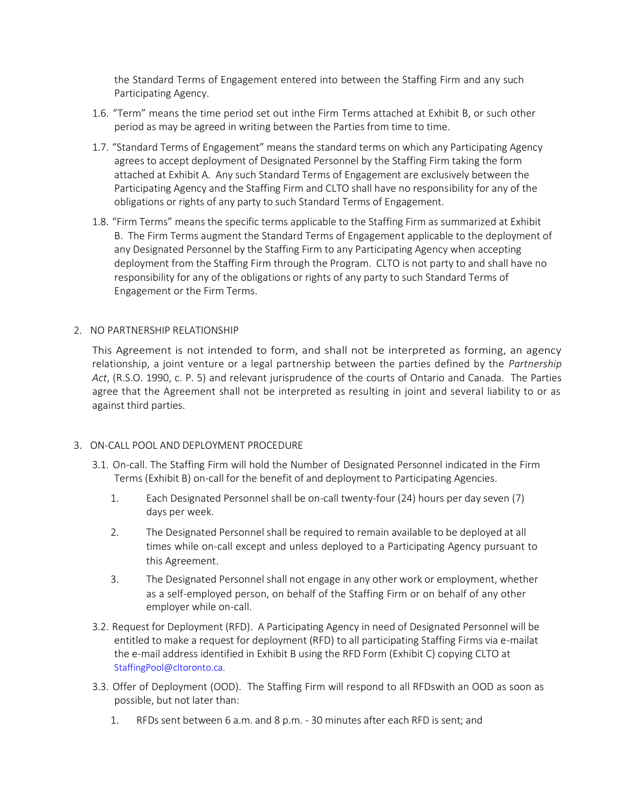the Standard Terms of Engagement entered into between the Staffing Firm and any such Participating Agency.

- 1.6. "Term" means the time period set out inthe Firm Terms attached at Exhibit B, or such other period as may be agreed in writing between the Parties from time to time.
- 1.7. "Standard Terms of Engagement" means the standard terms on which any Participating Agency agrees to accept deployment of Designated Personnel by the Staffing Firm taking the form attached at Exhibit A. Any such Standard Terms of Engagement are exclusively between the Participating Agency and the Staffing Firm and CLTO shall have no responsibility for any of the obligations or rights of any party to such Standard Terms of Engagement.
- 1.8. "Firm Terms" means the specific terms applicable to the Staffing Firm as summarized at Exhibit B. The Firm Terms augment the Standard Terms of Engagement applicable to the deployment of any Designated Personnel by the Staffing Firm to any Participating Agency when accepting deployment from the Staffing Firm through the Program. CLTO is not party to and shall have no responsibility for any of the obligations or rights of any party to such Standard Terms of Engagement or the Firm Terms.

# 2. NO PARTNERSHIP RELATIONSHIP

This Agreement is not intended to form, and shall not be interpreted as forming, an agency relationship, a joint venture or a legal partnership between the parties defined by the *Partnership Act*, (R.S.O. 1990, c. P. 5) and relevant jurisprudence of the courts of Ontario and Canada. The Parties agree that the Agreement shall not be interpreted as resulting in joint and several liability to or as against third parties.

# 3. ON-CALL POOL AND DEPLOYMENT PROCEDURE

- 3.1. On-call. The Staffing Firm will hold the Number of Designated Personnel indicated in the Firm Terms (Exhibit B) on-call for the benefit of and deployment to Participating Agencies.
	- 1. Each Designated Personnel shall be on-call twenty-four (24) hours per day seven (7) days per week.
	- 2. The Designated Personnel shall be required to remain available to be deployed at all times while on-call except and unless deployed to a Participating Agency pursuant to this Agreement.
	- 3. The Designated Personnel shall not engage in any other work or employment, whether as a self-employed person, on behalf of the Staffing Firm or on behalf of any other employer while on-call.
- 3.2. Request for Deployment (RFD). A Participating Agency in need of Designated Personnel will be entitled to make a request for deployment (RFD) to all participating Staffing Firms via e-mailat the e-mail address identified in Exhibit B using the RFD Form (Exhibit C) copying CLTO at [StaffingPool@cltoronto.ca.](mailto:StaffingPool@cltoronto.ca)
- 3.3. Offer of Deployment (OOD). The Staffing Firm will respond to all RFDswith an OOD as soon as possible, but not later than:
	- 1. RFDs sent between 6 a.m. and 8 p.m. 30 minutes after each RFD is sent; and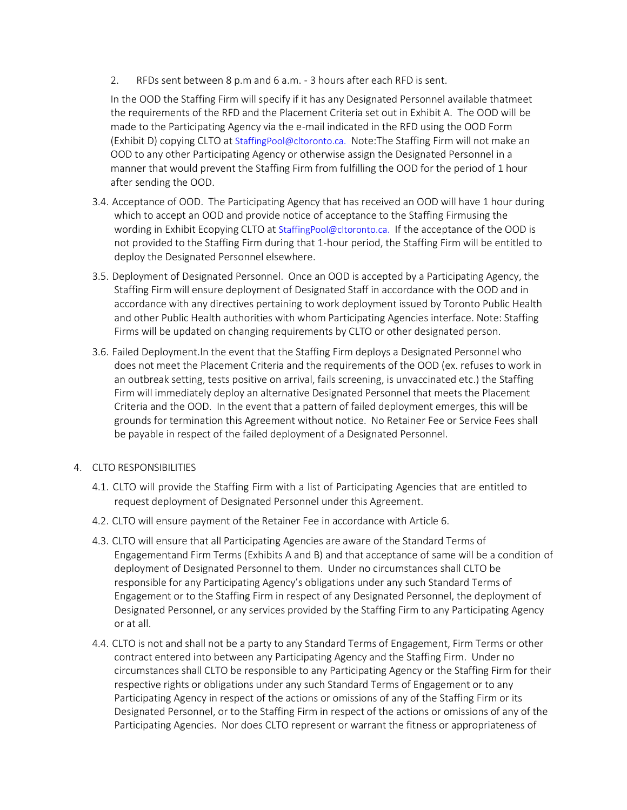2. RFDs sent between 8 p.m and 6 a.m. - 3 hours after each RFD is sent.

In the OOD the Staffing Firm will specify if it has any Designated Personnel available thatmeet the requirements of the RFD and the Placement Criteria set out in Exhibit A. The OOD will be made to the Participating Agency via the e-mail indicated in the RFD using the OOD Form (Exhibit D) copying CLTO at [StaffingPool@cltoronto.ca.](mailto:StaffingPool@cltoronto.ca) Note:The Staffing Firm will not make an OOD to any other Participating Agency or otherwise assign the Designated Personnel in a manner that would prevent the Staffing Firm from fulfilling the OOD for the period of 1 hour after sending the OOD.

- 3.4. Acceptance of OOD. The Participating Agency that has received an OOD will have 1 hour during which to accept an OOD and provide notice of acceptance to the Staffing Firmusing the wording in Exhibit Ecopying CLTO at [StaffingPool@cltoronto.ca.](mailto:StaffingPool@cltoronto.ca) If the acceptance of the OOD is not provided to the Staffing Firm during that 1-hour period, the Staffing Firm will be entitled to deploy the Designated Personnel elsewhere.
- 3.5. Deployment of Designated Personnel. Once an OOD is accepted by a Participating Agency, the Staffing Firm will ensure deployment of Designated Staff in accordance with the OOD and in accordance with any directives pertaining to work deployment issued by Toronto Public Health and other Public Health authorities with whom Participating Agencies interface. Note: Staffing Firms will be updated on changing requirements by CLTO or other designated person.
- 3.6. Failed Deployment.In the event that the Staffing Firm deploys a Designated Personnel who does not meet the Placement Criteria and the requirements of the OOD (ex. refuses to work in an outbreak setting, tests positive on arrival, fails screening, is unvaccinated etc.) the Staffing Firm will immediately deploy an alternative Designated Personnel that meets the Placement Criteria and the OOD. In the event that a pattern of failed deployment emerges, this will be grounds for termination this Agreement without notice. No Retainer Fee or Service Fees shall be payable in respect of the failed deployment of a Designated Personnel.
- 4. CLTO RESPONSIBILITIES
	- 4.1. CLTO will provide the Staffing Firm with a list of Participating Agencies that are entitled to request deployment of Designated Personnel under this Agreement.
	- 4.2. CLTO will ensure payment of the Retainer Fee in accordance with Article 6.
	- 4.3. CLTO will ensure that all Participating Agencies are aware of the Standard Terms of Engagementand Firm Terms (Exhibits A and B) and that acceptance of same will be a condition of deployment of Designated Personnel to them. Under no circumstances shall CLTO be responsible for any Participating Agency's obligations under any such Standard Terms of Engagement or to the Staffing Firm in respect of any Designated Personnel, the deployment of Designated Personnel, or any services provided by the Staffing Firm to any Participating Agency or at all.
	- 4.4. CLTO is not and shall not be a party to any Standard Terms of Engagement, Firm Terms or other contract entered into between any Participating Agency and the Staffing Firm. Under no circumstances shall CLTO be responsible to any Participating Agency or the Staffing Firm for their respective rights or obligations under any such Standard Terms of Engagement or to any Participating Agency in respect of the actions or omissions of any of the Staffing Firm or its Designated Personnel, or to the Staffing Firm in respect of the actions or omissions of any of the Participating Agencies. Nor does CLTO represent or warrant the fitness or appropriateness of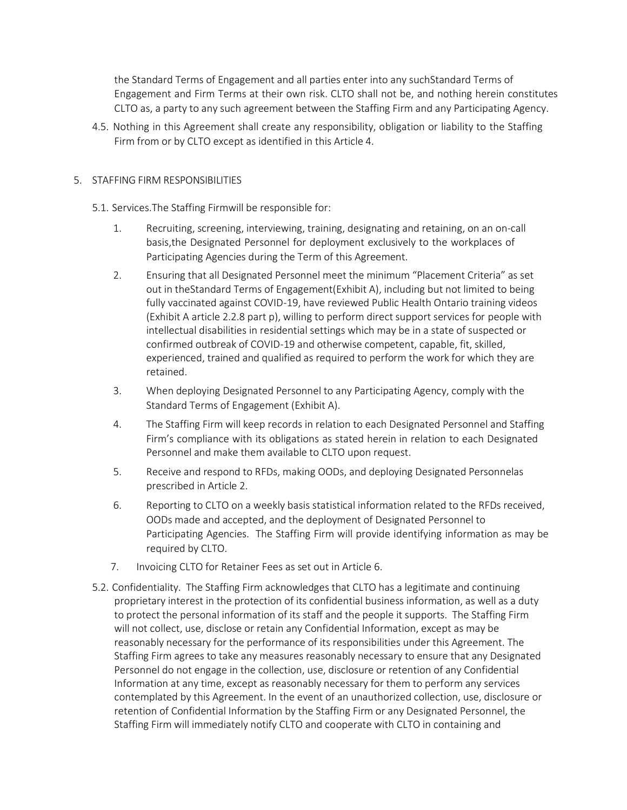the Standard Terms of Engagement and all parties enter into any suchStandard Terms of Engagement and Firm Terms at their own risk. CLTO shall not be, and nothing herein constitutes CLTO as, a party to any such agreement between the Staffing Firm and any Participating Agency.

4.5. Nothing in this Agreement shall create any responsibility, obligation or liability to the Staffing Firm from or by CLTO except as identified in this Article 4.

# 5. STAFFING FIRM RESPONSIBILITIES

# 5.1. Services.The Staffing Firmwill be responsible for:

- 1. Recruiting, screening, interviewing, training, designating and retaining, on an on-call basis,the Designated Personnel for deployment exclusively to the workplaces of Participating Agencies during the Term of this Agreement.
- 2. Ensuring that all Designated Personnel meet the minimum "Placement Criteria" as set out in theStandard Terms of Engagement(Exhibit A), including but not limited to being fully vaccinated against COVID-19, have reviewed Public Health Ontario training videos (Exhibit A article 2.2.8 part p), willing to perform direct support services for people with intellectual disabilities in residential settings which may be in a state of suspected or confirmed outbreak of COVID-19 and otherwise competent, capable, fit, skilled, experienced, trained and qualified as required to perform the work for which they are retained.
- 3. When deploying Designated Personnel to any Participating Agency, comply with the Standard Terms of Engagement (Exhibit A).
- 4. The Staffing Firm will keep records in relation to each Designated Personnel and Staffing Firm's compliance with its obligations as stated herein in relation to each Designated Personnel and make them available to CLTO upon request.
- 5. Receive and respond to RFDs, making OODs, and deploying Designated Personnelas prescribed in Article 2.
- 6. Reporting to CLTO on a weekly basis statistical information related to the RFDs received, OODs made and accepted, and the deployment of Designated Personnel to Participating Agencies. The Staffing Firm will provide identifying information as may be required by CLTO.
- 7. Invoicing CLTO for Retainer Fees as set out in Article 6.
- 5.2. Confidentiality. The Staffing Firm acknowledges that CLTO has a legitimate and continuing proprietary interest in the protection of its confidential business information, as well as a duty to protect the personal information of its staff and the people it supports. The Staffing Firm will not collect, use, disclose or retain any Confidential Information, except as may be reasonably necessary for the performance of its responsibilities under this Agreement. The Staffing Firm agrees to take any measures reasonably necessary to ensure that any Designated Personnel do not engage in the collection, use, disclosure or retention of any Confidential Information at any time, except as reasonably necessary for them to perform any services contemplated by this Agreement. In the event of an unauthorized collection, use, disclosure or retention of Confidential Information by the Staffing Firm or any Designated Personnel, the Staffing Firm will immediately notify CLTO and cooperate with CLTO in containing and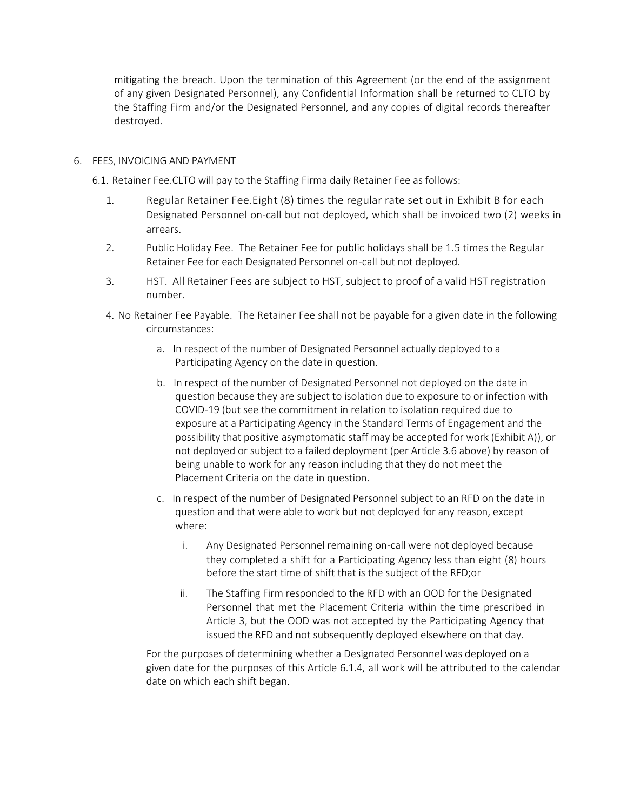mitigating the breach. Upon the termination of this Agreement (or the end of the assignment of any given Designated Personnel), any Confidential Information shall be returned to CLTO by the Staffing Firm and/or the Designated Personnel, and any copies of digital records thereafter destroyed.

# 6. FEES, INVOICING AND PAYMENT

6.1. Retainer Fee.CLTO will pay to the Staffing Firma daily Retainer Fee as follows:

- 1. Regular Retainer Fee.Eight (8) times the regular rate set out in Exhibit B for each Designated Personnel on-call but not deployed, which shall be invoiced two (2) weeks in arrears.
- 2. Public Holiday Fee. The Retainer Fee for public holidays shall be 1.5 times the Regular Retainer Fee for each Designated Personnel on-call but not deployed.
- 3. HST. All Retainer Fees are subject to HST, subject to proof of a valid HST registration number.
- 4. No Retainer Fee Payable. The Retainer Fee shall not be payable for a given date in the following circumstances:
	- a. In respect of the number of Designated Personnel actually deployed to a Participating Agency on the date in question.
	- b. In respect of the number of Designated Personnel not deployed on the date in question because they are subject to isolation due to exposure to or infection with COVID-19 (but see the commitment in relation to isolation required due to exposure at a Participating Agency in the Standard Terms of Engagement and the possibility that positive asymptomatic staff may be accepted for work (Exhibit A)), or not deployed or subject to a failed deployment (per Article 3.6 above) by reason of being unable to work for any reason including that they do not meet the Placement Criteria on the date in question.
	- c. In respect of the number of Designated Personnel subject to an RFD on the date in question and that were able to work but not deployed for any reason, except where:
		- i. Any Designated Personnel remaining on-call were not deployed because they completed a shift for a Participating Agency less than eight (8) hours before the start time of shift that is the subject of the RFD;or
		- ii. The Staffing Firm responded to the RFD with an OOD for the Designated Personnel that met the Placement Criteria within the time prescribed in Article 3, but the OOD was not accepted by the Participating Agency that issued the RFD and not subsequently deployed elsewhere on that day.

For the purposes of determining whether a Designated Personnel was deployed on a given date for the purposes of this Article 6.1.4, all work will be attributed to the calendar date on which each shift began.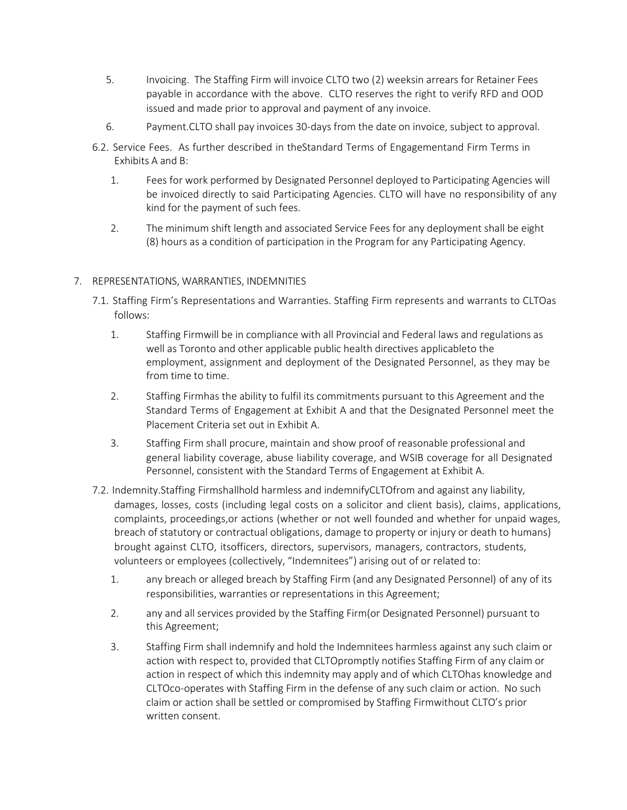- 5. Invoicing. The Staffing Firm will invoice CLTO two (2) weeksin arrears for Retainer Fees payable in accordance with the above. CLTO reserves the right to verify RFD and OOD issued and made prior to approval and payment of any invoice.
- 6. Payment.CLTO shall pay invoices 30-days from the date on invoice, subject to approval.
- 6.2. Service Fees. As further described in theStandard Terms of Engagementand Firm Terms in Exhibits A and B:
	- 1. Fees for work performed by Designated Personnel deployed to Participating Agencies will be invoiced directly to said Participating Agencies. CLTO will have no responsibility of any kind for the payment of such fees.
	- 2. The minimum shift length and associated Service Fees for any deployment shall be eight (8) hours as a condition of participation in the Program for any Participating Agency.

# 7. REPRESENTATIONS, WARRANTIES, INDEMNITIES

- 7.1. Staffing Firm's Representations and Warranties. Staffing Firm represents and warrants to CLTOas follows:
	- 1. Staffing Firmwill be in compliance with all Provincial and Federal laws and regulations as well as Toronto and other applicable public health directives applicableto the employment, assignment and deployment of the Designated Personnel, as they may be from time to time.
	- 2. Staffing Firmhas the ability to fulfil its commitments pursuant to this Agreement and the Standard Terms of Engagement at Exhibit A and that the Designated Personnel meet the Placement Criteria set out in Exhibit A.
	- 3. Staffing Firm shall procure, maintain and show proof of reasonable professional and general liability coverage, abuse liability coverage, and WSIB coverage for all Designated Personnel, consistent with the Standard Terms of Engagement at Exhibit A.
- 7.2. Indemnity.Staffing Firmshallhold harmless and indemnifyCLTOfrom and against any liability, damages, losses, costs (including legal costs on a solicitor and client basis), claims, applications, complaints, proceedings,or actions (whether or not well founded and whether for unpaid wages, breach of statutory or contractual obligations, damage to property or injury or death to humans) brought against CLTO, itsofficers, directors, supervisors, managers, contractors, students, volunteers or employees (collectively, "Indemnitees") arising out of or related to:
	- 1. any breach or alleged breach by Staffing Firm (and any Designated Personnel) of any of its responsibilities, warranties or representations in this Agreement;
	- 2. any and all services provided by the Staffing Firm(or Designated Personnel) pursuant to this Agreement;
	- 3. Staffing Firm shall indemnify and hold the Indemnitees harmless against any such claim or action with respect to, provided that CLTOpromptly notifies Staffing Firm of any claim or action in respect of which this indemnity may apply and of which CLTOhas knowledge and CLTOco-operates with Staffing Firm in the defense of any such claim or action. No such claim or action shall be settled or compromised by Staffing Firmwithout CLTO's prior written consent.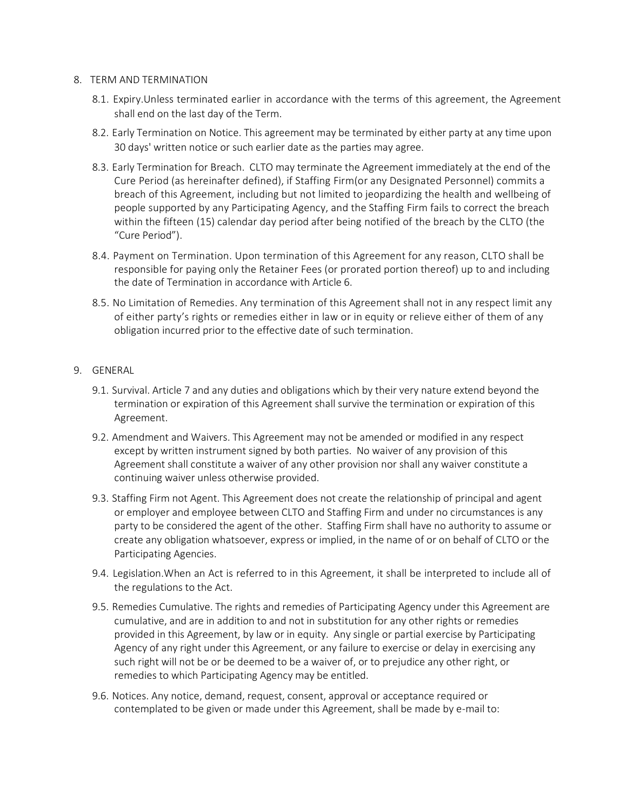#### 8. TERM AND TERMINATION

- 8.1. Expiry.Unless terminated earlier in accordance with the terms of this agreement, the Agreement shall end on the last day of the Term.
- 8.2. Early Termination on Notice. This agreement may be terminated by either party at any time upon 30 days' written notice or such earlier date as the parties may agree.
- 8.3. Early Termination for Breach. CLTO may terminate the Agreement immediately at the end of the Cure Period (as hereinafter defined), if Staffing Firm(or any Designated Personnel) commits a breach of this Agreement, including but not limited to jeopardizing the health and wellbeing of people supported by any Participating Agency, and the Staffing Firm fails to correct the breach within the fifteen (15) calendar day period after being notified of the breach by the CLTO (the "Cure Period").
- 8.4. Payment on Termination. Upon termination of this Agreement for any reason, CLTO shall be responsible for paying only the Retainer Fees (or prorated portion thereof) up to and including the date of Termination in accordance with Article 6.
- 8.5. No Limitation of Remedies. Any termination of this Agreement shall not in any respect limit any of either party's rights or remedies either in law or in equity or relieve either of them of any obligation incurred prior to the effective date of such termination.

# 9. GENERAL

- 9.1. Survival. Article 7 and any duties and obligations which by their very nature extend beyond the termination or expiration of this Agreement shall survive the termination or expiration of this Agreement.
- 9.2. Amendment and Waivers. This Agreement may not be amended or modified in any respect except by written instrument signed by both parties. No waiver of any provision of this Agreement shall constitute a waiver of any other provision nor shall any waiver constitute a continuing waiver unless otherwise provided.
- 9.3. Staffing Firm not Agent. This Agreement does not create the relationship of principal and agent or employer and employee between CLTO and Staffing Firm and under no circumstances is any party to be considered the agent of the other. Staffing Firm shall have no authority to assume or create any obligation whatsoever, express or implied, in the name of or on behalf of CLTO or the Participating Agencies.
- 9.4. Legislation.When an Act is referred to in this Agreement, it shall be interpreted to include all of the regulations to the Act.
- 9.5. Remedies Cumulative. The rights and remedies of Participating Agency under this Agreement are cumulative, and are in addition to and not in substitution for any other rights or remedies provided in this Agreement, by law or in equity. Any single or partial exercise by Participating Agency of any right under this Agreement, or any failure to exercise or delay in exercising any such right will not be or be deemed to be a waiver of, or to prejudice any other right, or remedies to which Participating Agency may be entitled.
- 9.6. Notices. Any notice, demand, request, consent, approval or acceptance required or contemplated to be given or made under this Agreement, shall be made by e-mail to: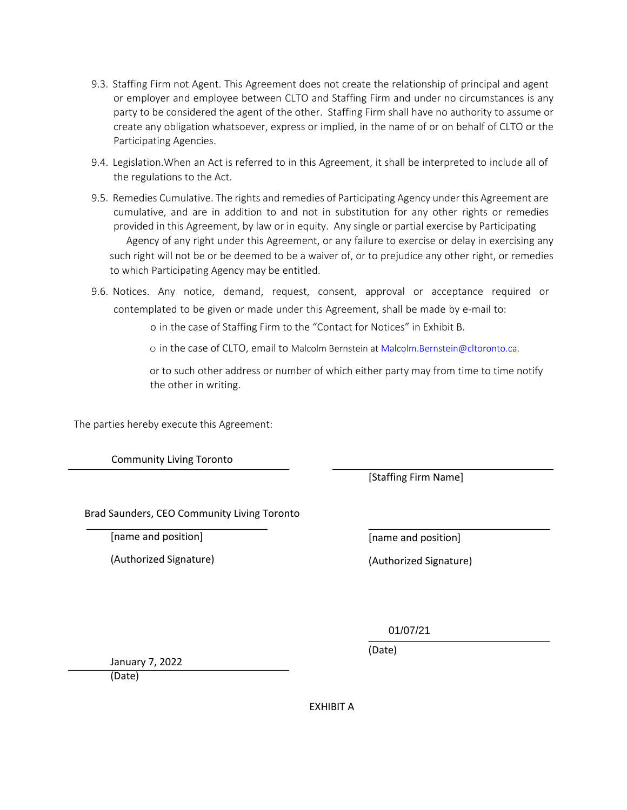- 9.3. Staffing Firm not Agent. This Agreement does not create the relationship of principal and agent or employer and employee between CLTO and Staffing Firm and under no circumstances is any party to be considered the agent of the other. Staffing Firm shall have no authority to assume or create any obligation whatsoever, express or implied, in the name of or on behalf of CLTO or the Participating Agencies.
- 9.4. Legislation.When an Act is referred to in this Agreement, it shall be interpreted to include all of the regulations to the Act.
- 9.5. Remedies Cumulative. The rights and remedies of Participating Agency under this Agreement are cumulative, and are in addition to and not in substitution for any other rights or remedies provided in this Agreement, by law or in equity. Any single or partial exercise by Participating Agency of any right under this Agreement, or any failure to exercise or delay in exercising any such right will not be or be deemed to be a waiver of, or to prejudice any other right, or remedies to which Participating Agency may be entitled.
- 9.6. Notices. Any notice, demand, request, consent, approval or acceptance required or contemplated to be given or made under this Agreement, shall be made by e-mail to:

o in the case of Staffing Firm to the "Contact for Notices" in Exhibit B.

o in the case of CLTO, email to Malcolm Bernstein at Malcolm.Bernstein@cltoronto.ca.

or to such other address or number of which either party may from time to time notify the other in writing.

The parties hereby execute this Agreement:

Community Living Toronto

[Staffing Firm Name]

Brad Saunders, CEO Community Living Toronto

[name and position]

(Authorized Signature)

[name and position]

(Authorized Signature)

01/07/21

(Date)

January 7, 2022

(Date)

EXHIBIT A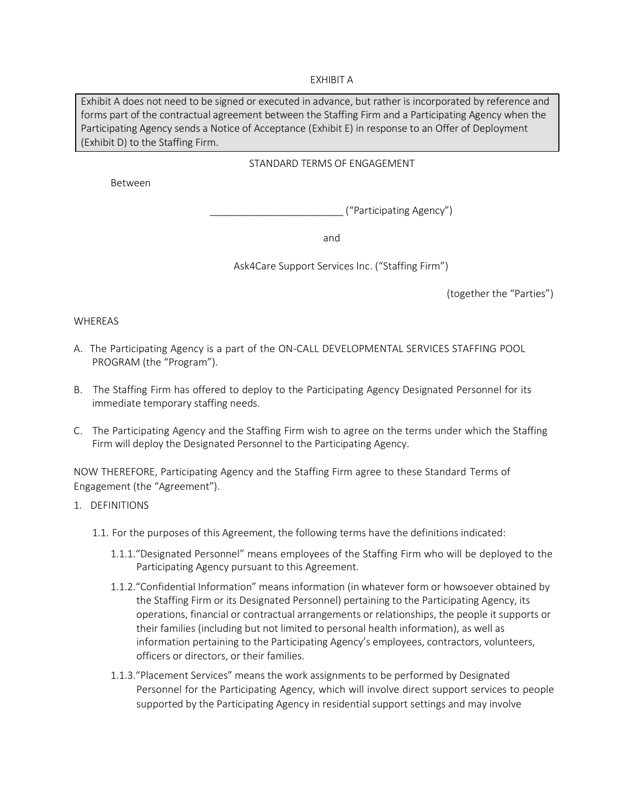### EXHIBIT A

Exhibit A does not need to be signed or executed in advance, but rather is incorporated by reference and forms part of the contractual agreement between the Staffing Firm and a Participating Agency when the Participating Agency sends a Notice of Acceptance (Exhibit E) in response to an Offer of Deployment (Exhibit D) to the Staffing Firm.

# STANDARD TERMS OF ENGAGEMENT

Between

\_\_\_\_\_\_\_\_\_\_\_\_\_\_\_\_\_\_\_\_\_\_\_\_ ("Participating Agency")

and

Ask4Care Support Services Inc. ("Staffing Firm")

(together the "Parties")

# WHEREAS

- A. The Participating Agency is a part of the ON-CALL DEVELOPMENTAL SERVICES STAFFING POOL PROGRAM (the "Program").
- B. The Staffing Firm has offered to deploy to the Participating Agency Designated Personnel for its immediate temporary staffing needs.
- C. The Participating Agency and the Staffing Firm wish to agree on the terms under which the Staffing Firm will deploy the Designated Personnel to the Participating Agency.

NOW THEREFORE, Participating Agency and the Staffing Firm agree to these Standard Terms of Engagement (the "Agreement").

- 1. DEFINITIONS
	- 1.1. For the purposes of this Agreement, the following terms have the definitions indicated:
		- 1.1.1."Designated Personnel" means employees of the Staffing Firm who will be deployed to the Participating Agency pursuant to this Agreement.
		- 1.1.2."Confidential Information" means information (in whatever form or howsoever obtained by the Staffing Firm or its Designated Personnel) pertaining to the Participating Agency, its operations, financial or contractual arrangements or relationships, the people it supports or their families (including but not limited to personal health information), as well as information pertaining to the Participating Agency's employees, contractors, volunteers, officers or directors, or their families.
		- 1.1.3."Placement Services" means the work assignments to be performed by Designated Personnel for the Participating Agency, which will involve direct support services to people supported by the Participating Agency in residential support settings and may involve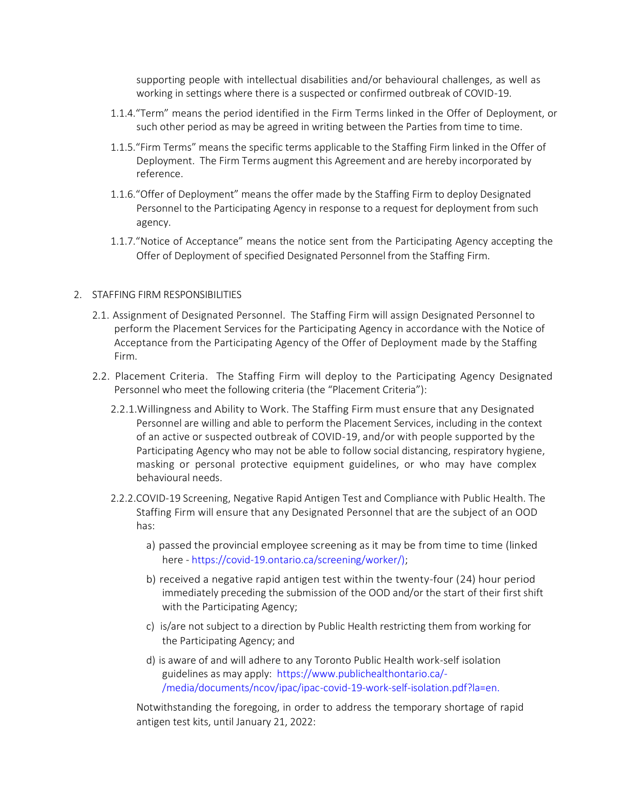supporting people with intellectual disabilities and/or behavioural challenges, as well as working in settings where there is a suspected or confirmed outbreak of COVID-19.

- 1.1.4."Term" means the period identified in the Firm Terms linked in the Offer of Deployment, or such other period as may be agreed in writing between the Parties from time to time.
- 1.1.5."Firm Terms" means the specific terms applicable to the Staffing Firm linked in the Offer of Deployment. The Firm Terms augment this Agreement and are hereby incorporated by reference.
- 1.1.6."Offer of Deployment" means the offer made by the Staffing Firm to deploy Designated Personnel to the Participating Agency in response to a request for deployment from such agency.
- 1.1.7."Notice of Acceptance" means the notice sent from the Participating Agency accepting the Offer of Deployment of specified Designated Personnel from the Staffing Firm.

#### 2. STAFFING FIRM RESPONSIBILITIES

- 2.1. Assignment of Designated Personnel. The Staffing Firm will assign Designated Personnel to perform the Placement Services for the Participating Agency in accordance with the Notice of Acceptance from the Participating Agency of the Offer of Deployment made by the Staffing Firm.
- 2.2. Placement Criteria. The Staffing Firm will deploy to the Participating Agency Designated Personnel who meet the following criteria (the "Placement Criteria"):
	- 2.2.1.Willingness and Ability to Work. The Staffing Firm must ensure that any Designated Personnel are willing and able to perform the Placement Services, including in the context of an active or suspected outbreak of COVID-19, and/or with people supported by the Participating Agency who may not be able to follow social distancing, respiratory hygiene, masking or personal protective equipment guidelines, or who may have complex behavioural needs.
	- 2.2.2.COVID-19 Screening, Negative Rapid Antigen Test and Compliance with Public Health. The Staffing Firm will ensure that any Designated Personnel that are the subject of an OOD has:
		- a) passed the provincial employee screening as it may be from time to time (linked here - [https://covid-19.ontario.ca/screening/worker/\);](https://covid-19.ontario.ca/screening/worker/)
		- b) received a negative rapid antigen test within the twenty-four (24) hour period immediately preceding the submission of the OOD and/or the start of their first shift with the Participating Agency;
		- c) is/are not subject to a direction by Public Health restricting them from working for the Participating Agency; and
		- d) is aware of and will adhere to any Toronto Public Health work-self isolation guidelines as may apply: [https://www.publichealthontario.ca/-](https://www.publichealthontario.ca/-/media/documents/ncov/ipac/ipac-covid-19-work-self-isolation.pdf?la=en) [/media/documents/ncov/ipac/ipac-covid-19-work-self-isolation.pdf?la=en.](https://www.publichealthontario.ca/-/media/documents/ncov/ipac/ipac-covid-19-work-self-isolation.pdf?la=en)

Notwithstanding the foregoing, in order to address the temporary shortage of rapid antigen test kits, until January 21, 2022: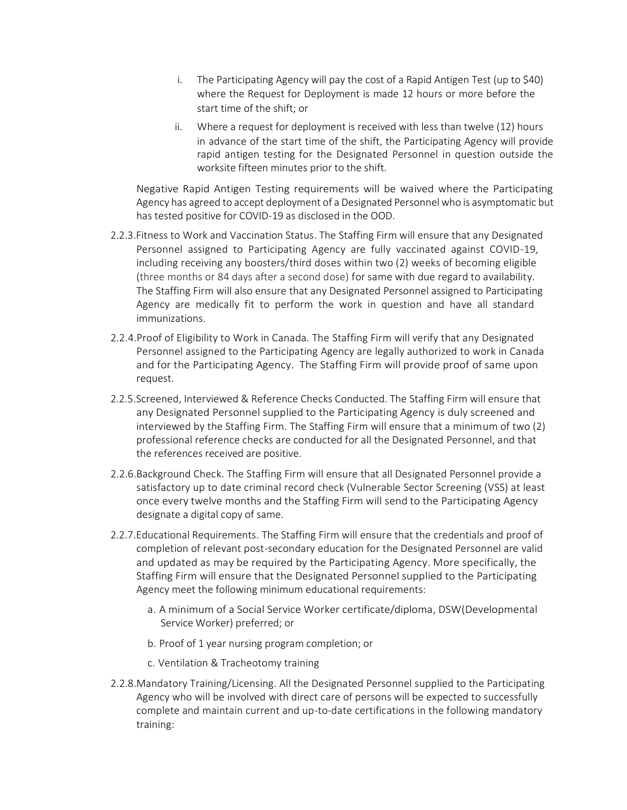- i. The Participating Agency will pay the cost of a Rapid Antigen Test (up to \$40) where the Request for Deployment is made 12 hours or more before the start time of the shift; or
- ii. Where a request for deployment is received with less than twelve (12) hours in advance of the start time of the shift, the Participating Agency will provide rapid antigen testing for the Designated Personnel in question outside the worksite fifteen minutes prior to the shift.

Negative Rapid Antigen Testing requirements will be waived where the Participating Agency has agreed to accept deployment of a Designated Personnel who is asymptomatic but has tested positive for COVID-19 as disclosed in the OOD.

- 2.2.3.Fitness to Work and Vaccination Status. The Staffing Firm will ensure that any Designated Personnel assigned to Participating Agency are fully vaccinated against COVID-19, including receiving any boosters/third doses within two (2) weeks of becoming eligible (three months or 84 days after a second dose) for same with due regard to availability. The Staffing Firm will also ensure that any Designated Personnel assigned to Participating Agency are medically fit to perform the work in question and have all standard immunizations.
- 2.2.4.Proof of Eligibility to Work in Canada. The Staffing Firm will verify that any Designated Personnel assigned to the Participating Agency are legally authorized to work in Canada and for the Participating Agency. The Staffing Firm will provide proof of same upon request.
- 2.2.5.Screened, Interviewed & Reference Checks Conducted. The Staffing Firm will ensure that any Designated Personnel supplied to the Participating Agency is duly screened and interviewed by the Staffing Firm. The Staffing Firm will ensure that a minimum of two (2) professional reference checks are conducted for all the Designated Personnel, and that the references received are positive.
- 2.2.6.Background Check. The Staffing Firm will ensure that all Designated Personnel provide a satisfactory up to date criminal record check (Vulnerable Sector Screening (VSS) at least once every twelve months and the Staffing Firm will send to the Participating Agency designate a digital copy of same.
- 2.2.7.Educational Requirements. The Staffing Firm will ensure that the credentials and proof of completion of relevant post-secondary education for the Designated Personnel are valid and updated as may be required by the Participating Agency. More specifically, the Staffing Firm will ensure that the Designated Personnel supplied to the Participating Agency meet the following minimum educational requirements:
	- a. A minimum of a Social Service Worker certificate/diploma, DSW(Developmental Service Worker) preferred; or
	- b. Proof of 1 year nursing program completion; or
	- c. Ventilation & Tracheotomy training
- 2.2.8.Mandatory Training/Licensing. All the Designated Personnel supplied to the Participating Agency who will be involved with direct care of persons will be expected to successfully complete and maintain current and up-to-date certifications in the following mandatory training: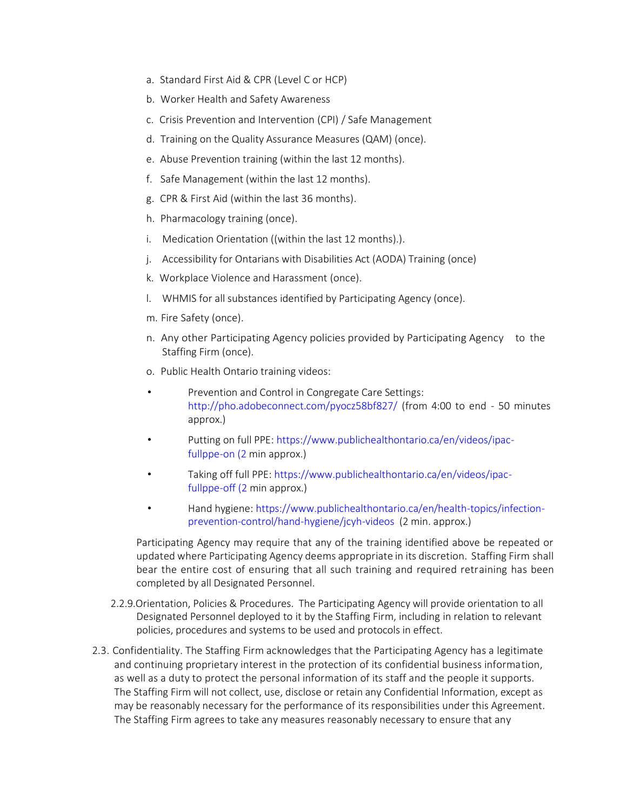- a. Standard First Aid & CPR (Level C or HCP)
- b. Worker Health and Safety Awareness
- c. Crisis Prevention and Intervention (CPI) / Safe Management
- d. Training on the Quality Assurance Measures (QAM) (once).
- e. Abuse Prevention training (within the last 12 months).
- f. Safe Management (within the last 12 months).
- g. CPR & First Aid (within the last 36 months).
- h. Pharmacology training (once).
- i. Medication Orientation ((within the last 12 months).).
- j. Accessibility for Ontarians with Disabilities Act (AODA) Training (once)
- k. Workplace Violence and Harassment (once).
- l. WHMIS for all substances identified by Participating Agency (once).
- m. Fire Safety (once).
- n. Any other Participating Agency policies provided by Participating Agency to the Staffing Firm (once).
- o. Public Health Ontario training videos:
- Prevention and Control in Congregate Care Settings: <http://pho.adobeconnect.com/pyocz58bf827/> (from 4:00 to end - 50 minutes approx.)
- Putting on full PPE: [https://www.publichealthontario.ca/en/videos/ipac](https://www.publichealthontario.ca/en/videos/ipac-fullppe-on%20(2)[fullppe-on \(2](https://www.publichealthontario.ca/en/videos/ipac-fullppe-on%20(2) min approx.)
- Taking off full PPE: [https://www.publichealthontario.ca/en/videos/ipac](https://www.publichealthontario.ca/en/videos/ipac-fullppe-off%20(2)[fullppe-off \(2](https://www.publichealthontario.ca/en/videos/ipac-fullppe-off%20(2) min approx.)
- Hand hygiene[: https://www.publichealthontario.ca/en/health-topics/infection](https://www.publichealthontario.ca/en/health-topics/infection-prevention-control/hand-hygiene/jcyh-videos)[prevention-control/hand-hygiene/jcyh-videos](https://www.publichealthontario.ca/en/health-topics/infection-prevention-control/hand-hygiene/jcyh-videos) (2 min. approx.)

Participating Agency may require that any of the training identified above be repeated or updated where Participating Agency deems appropriate in its discretion. Staffing Firm shall bear the entire cost of ensuring that all such training and required retraining has been completed by all Designated Personnel.

- 2.2.9.Orientation, Policies & Procedures. The Participating Agency will provide orientation to all Designated Personnel deployed to it by the Staffing Firm, including in relation to relevant policies, procedures and systems to be used and protocols in effect.
- 2.3. Confidentiality. The Staffing Firm acknowledges that the Participating Agency has a legitimate and continuing proprietary interest in the protection of its confidential business information, as well as a duty to protect the personal information of its staff and the people it supports. The Staffing Firm will not collect, use, disclose or retain any Confidential Information, except as may be reasonably necessary for the performance of its responsibilities under this Agreement. The Staffing Firm agrees to take any measures reasonably necessary to ensure that any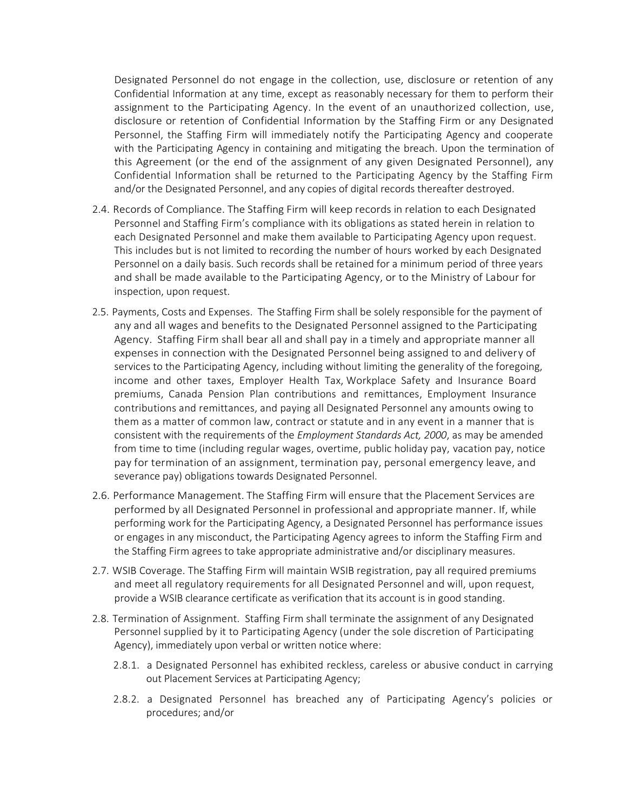Designated Personnel do not engage in the collection, use, disclosure or retention of any Confidential Information at any time, except as reasonably necessary for them to perform their assignment to the Participating Agency. In the event of an unauthorized collection, use, disclosure or retention of Confidential Information by the Staffing Firm or any Designated Personnel, the Staffing Firm will immediately notify the Participating Agency and cooperate with the Participating Agency in containing and mitigating the breach. Upon the termination of this Agreement (or the end of the assignment of any given Designated Personnel), any Confidential Information shall be returned to the Participating Agency by the Staffing Firm and/or the Designated Personnel, and any copies of digital records thereafter destroyed.

- 2.4. Records of Compliance. The Staffing Firm will keep records in relation to each Designated Personnel and Staffing Firm's compliance with its obligations as stated herein in relation to each Designated Personnel and make them available to Participating Agency upon request. This includes but is not limited to recording the number of hours worked by each Designated Personnel on a daily basis. Such records shall be retained for a minimum period of three years and shall be made available to the Participating Agency, or to the Ministry of Labour for inspection, upon request.
- 2.5. Payments, Costs and Expenses. The Staffing Firm shall be solely responsible for the payment of any and all wages and benefits to the Designated Personnel assigned to the Participating Agency. Staffing Firm shall bear all and shall pay in a timely and appropriate manner all expenses in connection with the Designated Personnel being assigned to and delivery of services to the Participating Agency, including without limiting the generality of the foregoing, income and other taxes, Employer Health Tax, Workplace Safety and Insurance Board premiums, Canada Pension Plan contributions and remittances, Employment Insurance contributions and remittances, and paying all Designated Personnel any amounts owing to them as a matter of common law, contract or statute and in any event in a manner that is consistent with the requirements of the *Employment Standards Act, 2000*, as may be amended from time to time (including regular wages, overtime, public holiday pay, vacation pay, notice pay for termination of an assignment, termination pay, personal emergency leave, and severance pay) obligations towards Designated Personnel.
- 2.6. Performance Management. The Staffing Firm will ensure that the Placement Services are performed by all Designated Personnel in professional and appropriate manner. If, while performing work for the Participating Agency, a Designated Personnel has performance issues or engages in any misconduct, the Participating Agency agrees to inform the Staffing Firm and the Staffing Firm agrees to take appropriate administrative and/or disciplinary measures.
- 2.7. WSIB Coverage. The Staffing Firm will maintain WSIB registration, pay all required premiums and meet all regulatory requirements for all Designated Personnel and will, upon request, provide a WSIB clearance certificate as verification that its account is in good standing.
- 2.8. Termination of Assignment. Staffing Firm shall terminate the assignment of any Designated Personnel supplied by it to Participating Agency (under the sole discretion of Participating Agency), immediately upon verbal or written notice where:
	- 2.8.1. a Designated Personnel has exhibited reckless, careless or abusive conduct in carrying out Placement Services at Participating Agency;
	- 2.8.2. a Designated Personnel has breached any of Participating Agency's policies or procedures; and/or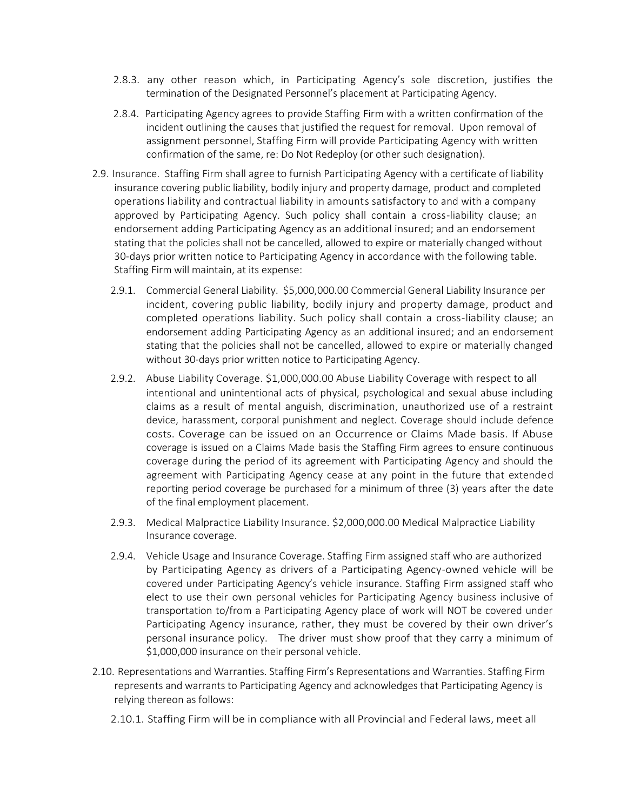- 2.8.3. any other reason which, in Participating Agency's sole discretion, justifies the termination of the Designated Personnel's placement at Participating Agency.
- 2.8.4. Participating Agency agrees to provide Staffing Firm with a written confirmation of the incident outlining the causes that justified the request for removal. Upon removal of assignment personnel, Staffing Firm will provide Participating Agency with written confirmation of the same, re: Do Not Redeploy (or other such designation).
- 2.9. Insurance. Staffing Firm shall agree to furnish Participating Agency with a certificate of liability insurance covering public liability, bodily injury and property damage, product and completed operations liability and contractual liability in amounts satisfactory to and with a company approved by Participating Agency. Such policy shall contain a cross-liability clause; an endorsement adding Participating Agency as an additional insured; and an endorsement stating that the policies shall not be cancelled, allowed to expire or materially changed without 30-days prior written notice to Participating Agency in accordance with the following table. Staffing Firm will maintain, at its expense:
	- 2.9.1. Commercial General Liability. \$5,000,000.00 Commercial General Liability Insurance per incident, covering public liability, bodily injury and property damage, product and completed operations liability. Such policy shall contain a cross-liability clause; an endorsement adding Participating Agency as an additional insured; and an endorsement stating that the policies shall not be cancelled, allowed to expire or materially changed without 30-days prior written notice to Participating Agency.
	- 2.9.2. Abuse Liability Coverage. \$1,000,000.00 Abuse Liability Coverage with respect to all intentional and unintentional acts of physical, psychological and sexual abuse including claims as a result of mental anguish, discrimination, unauthorized use of a restraint device, harassment, corporal punishment and neglect. Coverage should include defence costs. Coverage can be issued on an Occurrence or Claims Made basis. If Abuse coverage is issued on a Claims Made basis the Staffing Firm agrees to ensure continuous coverage during the period of its agreement with Participating Agency and should the agreement with Participating Agency cease at any point in the future that extended reporting period coverage be purchased for a minimum of three (3) years after the date of the final employment placement.
	- 2.9.3. Medical Malpractice Liability Insurance. \$2,000,000.00 Medical Malpractice Liability Insurance coverage.
	- 2.9.4. Vehicle Usage and Insurance Coverage. Staffing Firm assigned staff who are authorized by Participating Agency as drivers of a Participating Agency-owned vehicle will be covered under Participating Agency's vehicle insurance. Staffing Firm assigned staff who elect to use their own personal vehicles for Participating Agency business inclusive of transportation to/from a Participating Agency place of work will NOT be covered under Participating Agency insurance, rather, they must be covered by their own driver's personal insurance policy. The driver must show proof that they carry a minimum of \$1,000,000 insurance on their personal vehicle.
- 2.10. Representations and Warranties. Staffing Firm's Representations and Warranties. Staffing Firm represents and warrants to Participating Agency and acknowledges that Participating Agency is relying thereon as follows:
	- 2.10.1. Staffing Firm will be in compliance with all Provincial and Federal laws, meet all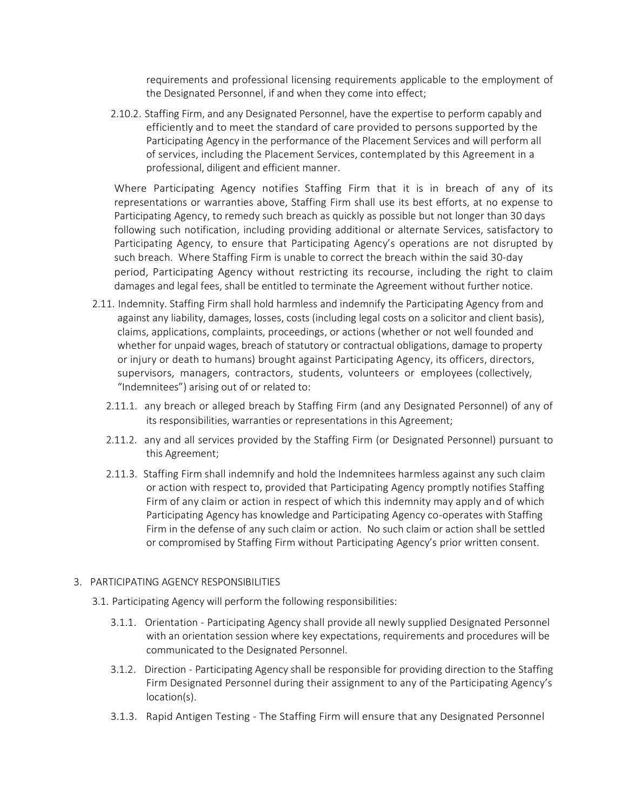requirements and professional licensing requirements applicable to the employment of the Designated Personnel, if and when they come into effect;

2.10.2. Staffing Firm, and any Designated Personnel, have the expertise to perform capably and efficiently and to meet the standard of care provided to persons supported by the Participating Agency in the performance of the Placement Services and will perform all of services, including the Placement Services, contemplated by this Agreement in a professional, diligent and efficient manner.

Where Participating Agency notifies Staffing Firm that it is in breach of any of its representations or warranties above, Staffing Firm shall use its best efforts, at no expense to Participating Agency, to remedy such breach as quickly as possible but not longer than 30 days following such notification, including providing additional or alternate Services, satisfactory to Participating Agency, to ensure that Participating Agency's operations are not disrupted by such breach. Where Staffing Firm is unable to correct the breach within the said 30-day period, Participating Agency without restricting its recourse, including the right to claim damages and legal fees, shall be entitled to terminate the Agreement without further notice.

- 2.11. Indemnity. Staffing Firm shall hold harmless and indemnify the Participating Agency from and against any liability, damages, losses, costs (including legal costs on a solicitor and client basis), claims, applications, complaints, proceedings, or actions (whether or not well founded and whether for unpaid wages, breach of statutory or contractual obligations, damage to property or injury or death to humans) brought against Participating Agency, its officers, directors, supervisors, managers, contractors, students, volunteers or employees (collectively, "Indemnitees") arising out of or related to:
	- 2.11.1. any breach or alleged breach by Staffing Firm (and any Designated Personnel) of any of its responsibilities, warranties or representations in this Agreement;
	- 2.11.2. any and all services provided by the Staffing Firm (or Designated Personnel) pursuant to this Agreement;
	- 2.11.3. Staffing Firm shall indemnify and hold the Indemnitees harmless against any such claim or action with respect to, provided that Participating Agency promptly notifies Staffing Firm of any claim or action in respect of which this indemnity may apply and of which Participating Agency has knowledge and Participating Agency co-operates with Staffing Firm in the defense of any such claim or action. No such claim or action shall be settled or compromised by Staffing Firm without Participating Agency's prior written consent.

# 3. PARTICIPATING AGENCY RESPONSIBILITIES

- 3.1. Participating Agency will perform the following responsibilities:
	- 3.1.1. Orientation Participating Agency shall provide all newly supplied Designated Personnel with an orientation session where key expectations, requirements and procedures will be communicated to the Designated Personnel.
	- 3.1.2. Direction Participating Agency shall be responsible for providing direction to the Staffing Firm Designated Personnel during their assignment to any of the Participating Agency's location(s).
	- 3.1.3. Rapid Antigen Testing The Staffing Firm will ensure that any Designated Personnel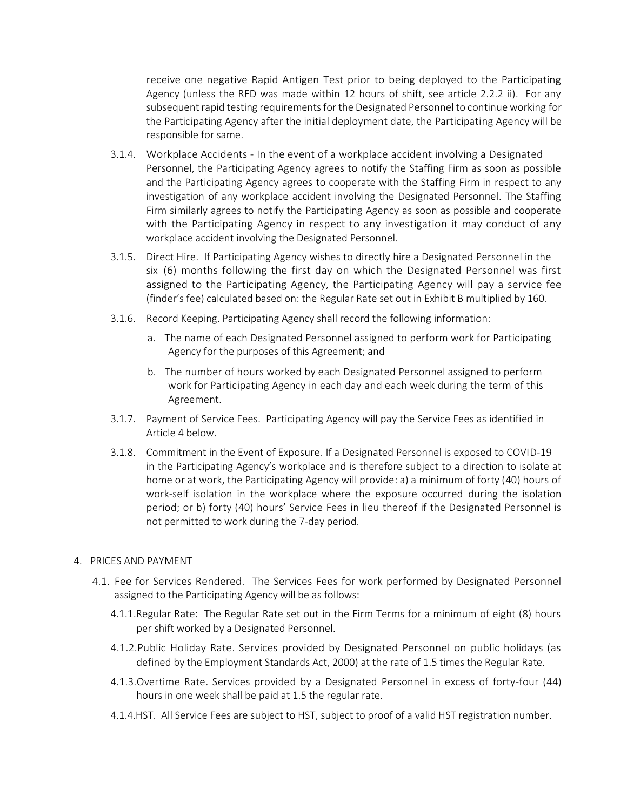receive one negative Rapid Antigen Test prior to being deployed to the Participating Agency (unless the RFD was made within 12 hours of shift, see article 2.2.2 ii). For any subsequent rapid testing requirements for the Designated Personnel to continue working for the Participating Agency after the initial deployment date, the Participating Agency will be responsible for same.

- 3.1.4. Workplace Accidents In the event of a workplace accident involving a Designated Personnel, the Participating Agency agrees to notify the Staffing Firm as soon as possible and the Participating Agency agrees to cooperate with the Staffing Firm in respect to any investigation of any workplace accident involving the Designated Personnel. The Staffing Firm similarly agrees to notify the Participating Agency as soon as possible and cooperate with the Participating Agency in respect to any investigation it may conduct of any workplace accident involving the Designated Personnel.
- 3.1.5. Direct Hire. If Participating Agency wishes to directly hire a Designated Personnel in the six (6) months following the first day on which the Designated Personnel was first assigned to the Participating Agency, the Participating Agency will pay a service fee (finder's fee) calculated based on: the Regular Rate set out in Exhibit B multiplied by 160.
- 3.1.6. Record Keeping. Participating Agency shall record the following information:
	- a. The name of each Designated Personnel assigned to perform work for Participating Agency for the purposes of this Agreement; and
	- b. The number of hours worked by each Designated Personnel assigned to perform work for Participating Agency in each day and each week during the term of this Agreement.
- 3.1.7. Payment of Service Fees. Participating Agency will pay the Service Fees as identified in Article 4 below.
- 3.1.8. Commitment in the Event of Exposure. If a Designated Personnel is exposed to COVID-19 in the Participating Agency's workplace and is therefore subject to a direction to isolate at home or at work, the Participating Agency will provide: a) a minimum of forty (40) hours of work-self isolation in the workplace where the exposure occurred during the isolation period; or b) forty (40) hours' Service Fees in lieu thereof if the Designated Personnel is not permitted to work during the 7-day period.

#### 4. PRICES AND PAYMENT

- 4.1. Fee for Services Rendered. The Services Fees for work performed by Designated Personnel assigned to the Participating Agency will be as follows:
	- 4.1.1.Regular Rate: The Regular Rate set out in the Firm Terms for a minimum of eight (8) hours per shift worked by a Designated Personnel.
	- 4.1.2.Public Holiday Rate. Services provided by Designated Personnel on public holidays (as defined by the Employment Standards Act, 2000) at the rate of 1.5 times the Regular Rate.
	- 4.1.3.Overtime Rate. Services provided by a Designated Personnel in excess of forty-four (44) hours in one week shall be paid at 1.5 the regular rate.
	- 4.1.4.HST. All Service Fees are subject to HST, subject to proof of a valid HST registration number.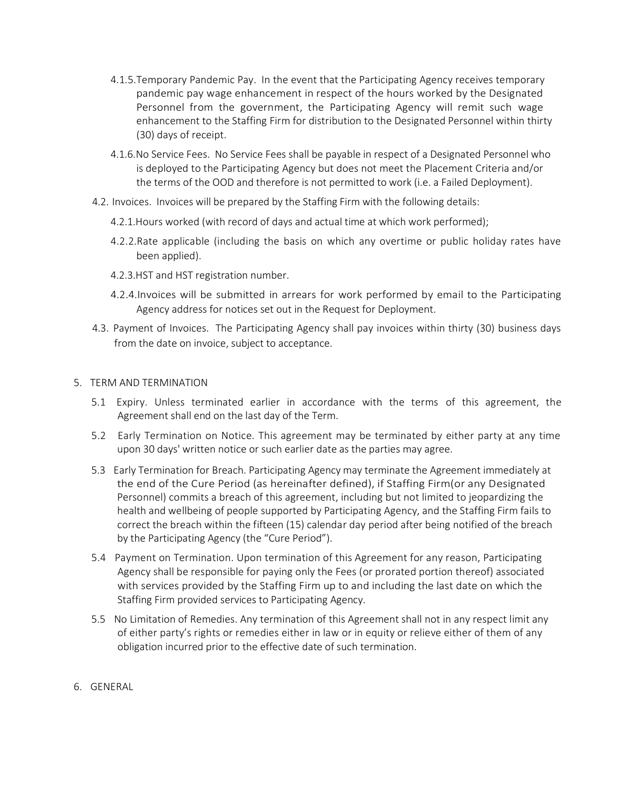- 4.1.5.Temporary Pandemic Pay. In the event that the Participating Agency receives temporary pandemic pay wage enhancement in respect of the hours worked by the Designated Personnel from the government, the Participating Agency will remit such wage enhancement to the Staffing Firm for distribution to the Designated Personnel within thirty (30) days of receipt.
- 4.1.6.No Service Fees. No Service Fees shall be payable in respect of a Designated Personnel who is deployed to the Participating Agency but does not meet the Placement Criteria and/or the terms of the OOD and therefore is not permitted to work (i.e. a Failed Deployment).
- 4.2. Invoices. Invoices will be prepared by the Staffing Firm with the following details:
	- 4.2.1.Hours worked (with record of days and actual time at which work performed);
	- 4.2.2.Rate applicable (including the basis on which any overtime or public holiday rates have been applied).
	- 4.2.3.HST and HST registration number.
	- 4.2.4.Invoices will be submitted in arrears for work performed by email to the Participating Agency address for notices set out in the Request for Deployment.
- 4.3. Payment of Invoices. The Participating Agency shall pay invoices within thirty (30) business days from the date on invoice, subject to acceptance.
- 5. TERM AND TERMINATION
	- 5.1 Expiry. Unless terminated earlier in accordance with the terms of this agreement, the Agreement shall end on the last day of the Term.
	- 5.2 Early Termination on Notice. This agreement may be terminated by either party at any time upon 30 days' written notice or such earlier date as the parties may agree.
	- 5.3 Early Termination for Breach. Participating Agency may terminate the Agreement immediately at the end of the Cure Period (as hereinafter defined), if Staffing Firm(or any Designated Personnel) commits a breach of this agreement, including but not limited to jeopardizing the health and wellbeing of people supported by Participating Agency, and the Staffing Firm fails to correct the breach within the fifteen (15) calendar day period after being notified of the breach by the Participating Agency (the "Cure Period").
	- 5.4 Payment on Termination. Upon termination of this Agreement for any reason, Participating Agency shall be responsible for paying only the Fees (or prorated portion thereof) associated with services provided by the Staffing Firm up to and including the last date on which the Staffing Firm provided services to Participating Agency.
	- 5.5 No Limitation of Remedies. Any termination of this Agreement shall not in any respect limit any of either party's rights or remedies either in law or in equity or relieve either of them of any obligation incurred prior to the effective date of such termination.
- 6. GENERAL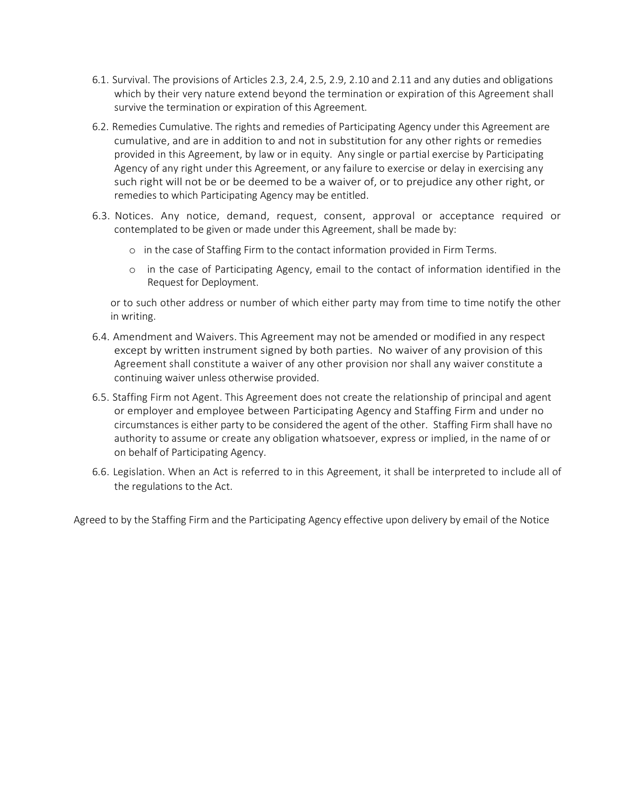- 6.1. Survival. The provisions of Articles 2.3, 2.4, 2.5, 2.9, 2.10 and 2.11 and any duties and obligations which by their very nature extend beyond the termination or expiration of this Agreement shall survive the termination or expiration of this Agreement.
- 6.2. Remedies Cumulative. The rights and remedies of Participating Agency under this Agreement are cumulative, and are in addition to and not in substitution for any other rights or remedies provided in this Agreement, by law or in equity. Any single or partial exercise by Participating Agency of any right under this Agreement, or any failure to exercise or delay in exercising any such right will not be or be deemed to be a waiver of, or to prejudice any other right, or remedies to which Participating Agency may be entitled.
- 6.3. Notices. Any notice, demand, request, consent, approval or acceptance required or contemplated to be given or made under this Agreement, shall be made by:
	- o in the case of Staffing Firm to the contact information provided in Firm Terms.
	- o in the case of Participating Agency, email to the contact of information identified in the Request for Deployment.

or to such other address or number of which either party may from time to time notify the other in writing.

- 6.4. Amendment and Waivers. This Agreement may not be amended or modified in any respect except by written instrument signed by both parties. No waiver of any provision of this Agreement shall constitute a waiver of any other provision nor shall any waiver constitute a continuing waiver unless otherwise provided.
- 6.5. Staffing Firm not Agent. This Agreement does not create the relationship of principal and agent or employer and employee between Participating Agency and Staffing Firm and under no circumstances is either party to be considered the agent of the other. Staffing Firm shall have no authority to assume or create any obligation whatsoever, express or implied, in the name of or on behalf of Participating Agency.
- 6.6. Legislation. When an Act is referred to in this Agreement, it shall be interpreted to include all of the regulations to the Act.

Agreed to by the Staffing Firm and the Participating Agency effective upon delivery by email of the Notice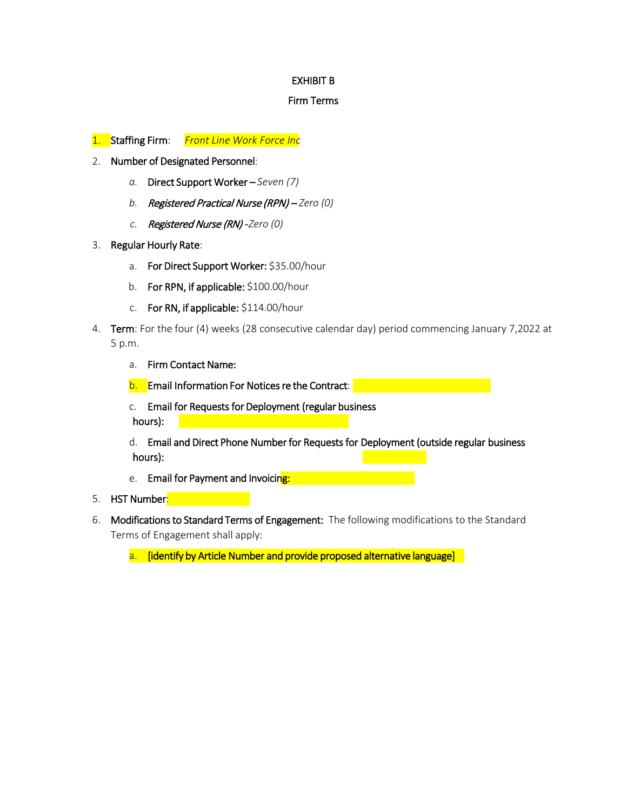# EXHIBIT B

### Firm Terms

- 1. Staffing Firm: *Front Line Work Force Inc*
- 2. Number of Designated Personnel:
	- *a.* Direct Support Worker *Seven (7)*
	- *b.* Registered Practical Nurse (RPN) *Zero (0)*
	- *c.* Registered Nurse (RN) -*Zero (0)*
- 3. Regular Hourly Rate:
	- a. For Direct Support Worker: \$35.00/hour
	- b. For RPN, if applicable: \$100.00/hour
	- c. For RN, if applicable: \$114.00/hour
- 4. Term: For the four (4) weeks (28 consecutive calendar day) period commencing January 7,2022 at 5 p.m.
	- a. Firm Contact Name:
	- b. Email Information For Notices re the Contract: **Exercía Exercía Exercía Exercía Exercía Exercía Exercía Exercí**
	- c. Email for Requests for Deployment (regular business hours):
	- d. Email and Direct Phone Number for Requests for Deployment (outside regular business hours):
	- e. Email for Payment and Invoicing:
- 5. HST Number<mark>:</mark>
- 6. Modifications to Standard Terms of Engagement: The following modifications to the Standard Terms of Engagement shall apply:
	- a. [identify by Article Number and provide proposed alternative language]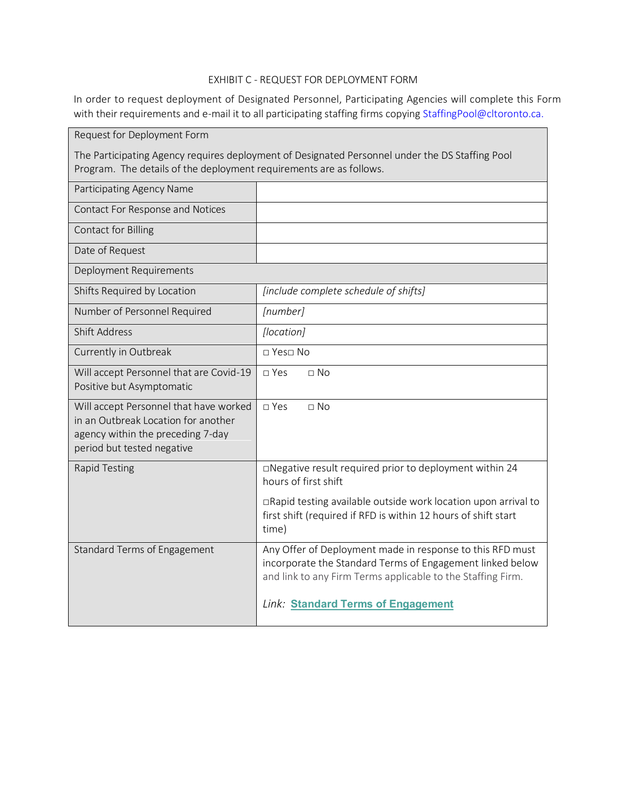# EXHIBIT C - REQUEST FOR DEPLOYMENT FORM

In order to request deployment of Designated Personnel, Participating Agencies will complete this Form with their requirements and e-mail it to all participating staffing firms copying [StaffingPool@cltoronto.ca.](mailto:StaffingPool@cltoronto.ca)

| Request for Deployment Form                                                                                                                                            |                                                                                                                                                                                                                                    |  |  |  |
|------------------------------------------------------------------------------------------------------------------------------------------------------------------------|------------------------------------------------------------------------------------------------------------------------------------------------------------------------------------------------------------------------------------|--|--|--|
| The Participating Agency requires deployment of Designated Personnel under the DS Staffing Pool<br>Program. The details of the deployment requirements are as follows. |                                                                                                                                                                                                                                    |  |  |  |
| Participating Agency Name                                                                                                                                              |                                                                                                                                                                                                                                    |  |  |  |
| Contact For Response and Notices                                                                                                                                       |                                                                                                                                                                                                                                    |  |  |  |
| Contact for Billing                                                                                                                                                    |                                                                                                                                                                                                                                    |  |  |  |
| Date of Request                                                                                                                                                        |                                                                                                                                                                                                                                    |  |  |  |
| Deployment Requirements                                                                                                                                                |                                                                                                                                                                                                                                    |  |  |  |
| Shifts Required by Location                                                                                                                                            | [include complete schedule of shifts]                                                                                                                                                                                              |  |  |  |
| Number of Personnel Required                                                                                                                                           | [number]                                                                                                                                                                                                                           |  |  |  |
| <b>Shift Address</b>                                                                                                                                                   | [location]                                                                                                                                                                                                                         |  |  |  |
| Currently in Outbreak                                                                                                                                                  | □ Yes□ No                                                                                                                                                                                                                          |  |  |  |
| Will accept Personnel that are Covid-19<br>Positive but Asymptomatic                                                                                                   | □ Yes<br>$\square$ No                                                                                                                                                                                                              |  |  |  |
| Will accept Personnel that have worked<br>in an Outbreak Location for another<br>agency within the preceding 7-day<br>period but tested negative                       | □ Yes<br>$\Box$ No                                                                                                                                                                                                                 |  |  |  |
| <b>Rapid Testing</b>                                                                                                                                                   | □Negative result required prior to deployment within 24<br>hours of first shift                                                                                                                                                    |  |  |  |
|                                                                                                                                                                        | □Rapid testing available outside work location upon arrival to<br>first shift (required if RFD is within 12 hours of shift start<br>time)                                                                                          |  |  |  |
| Standard Terms of Engagement                                                                                                                                           | Any Offer of Deployment made in response to this RFD must<br>incorporate the Standard Terms of Engagement linked below<br>and link to any Firm Terms applicable to the Staffing Firm.<br><b>Link: Standard Terms of Engagement</b> |  |  |  |
|                                                                                                                                                                        |                                                                                                                                                                                                                                    |  |  |  |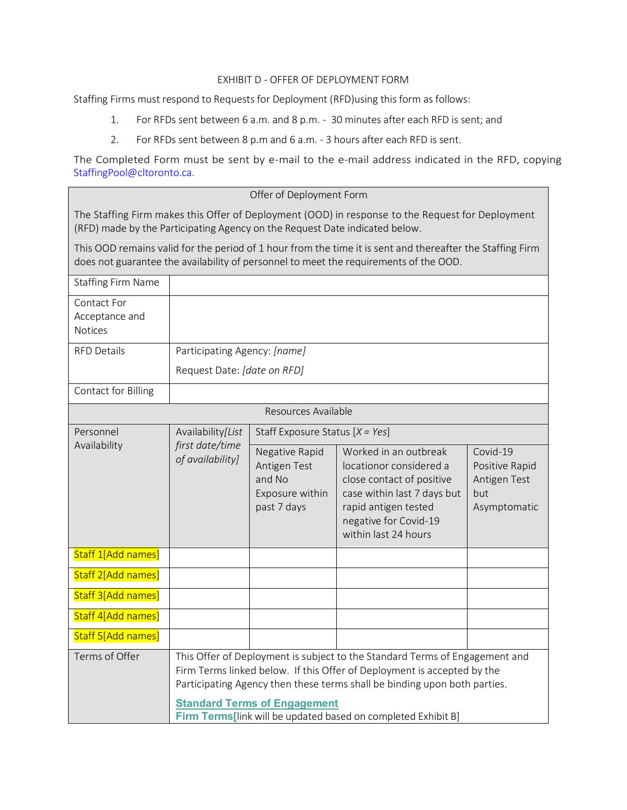### EXHIBIT D - OFFER OF DEPLOYMENT FORM

Staffing Firms must respond to Requests for Deployment (RFD)using this form as follows:

- 1. For RFDs sent between 6 a.m. and 8 p.m. 30 minutes after each RFD is sent; and
- 2. For RFDs sent between 8 p.m and 6 a.m. 3 hours after each RFD is sent.

The Completed Form must be sent by e-mail to the e-mail address indicated in the RFD, copying [StaffingPool@cltoronto.ca.](mailto:StaffingPool@cltoronto.ca)

### Offer of Deployment Form

The Staffing Firm makes this Offer of Deployment (OOD) in response to the Request for Deployment (RFD) made by the Participating Agency on the Request Date indicated below.

This OOD remains valid for the period of 1 hour from the time it is sent and thereafter the Staffing Firm does not guarantee the availability of personnel to meet the requirements of the OOD.

| <b>Staffing Firm Name</b>                |                                                                                                                                                                                                                                                                            |                                                                            |                                                                                                                                                                                       |                                                                   |  |
|------------------------------------------|----------------------------------------------------------------------------------------------------------------------------------------------------------------------------------------------------------------------------------------------------------------------------|----------------------------------------------------------------------------|---------------------------------------------------------------------------------------------------------------------------------------------------------------------------------------|-------------------------------------------------------------------|--|
| Contact For<br>Acceptance and<br>Notices |                                                                                                                                                                                                                                                                            |                                                                            |                                                                                                                                                                                       |                                                                   |  |
| <b>RFD Details</b>                       | Participating Agency: [name]                                                                                                                                                                                                                                               |                                                                            |                                                                                                                                                                                       |                                                                   |  |
|                                          | Request Date: [date on RFD]                                                                                                                                                                                                                                                |                                                                            |                                                                                                                                                                                       |                                                                   |  |
| Contact for Billing                      |                                                                                                                                                                                                                                                                            |                                                                            |                                                                                                                                                                                       |                                                                   |  |
| Resources Available                      |                                                                                                                                                                                                                                                                            |                                                                            |                                                                                                                                                                                       |                                                                   |  |
| Personnel<br>Availability                | Availability/List<br>first date/time<br>of availability]                                                                                                                                                                                                                   | Staff Exposure Status $[X = Yes]$                                          |                                                                                                                                                                                       |                                                                   |  |
|                                          |                                                                                                                                                                                                                                                                            | Negative Rapid<br>Antigen Test<br>and No<br>Exposure within<br>past 7 days | Worked in an outbreak<br>locationor considered a<br>close contact of positive<br>case within last 7 days but<br>rapid antigen tested<br>negative for Covid-19<br>within last 24 hours | Covid-19<br>Positive Rapid<br>Antigen Test<br>but<br>Asymptomatic |  |
| Staff 1[Add names]                       |                                                                                                                                                                                                                                                                            |                                                                            |                                                                                                                                                                                       |                                                                   |  |
| Staff 2[Add names]                       |                                                                                                                                                                                                                                                                            |                                                                            |                                                                                                                                                                                       |                                                                   |  |
| Staff 3[Add names]                       |                                                                                                                                                                                                                                                                            |                                                                            |                                                                                                                                                                                       |                                                                   |  |
| Staff 4[Add names]                       |                                                                                                                                                                                                                                                                            |                                                                            |                                                                                                                                                                                       |                                                                   |  |
| Staff 5[Add names]                       |                                                                                                                                                                                                                                                                            |                                                                            |                                                                                                                                                                                       |                                                                   |  |
| Terms of Offer                           | This Offer of Deployment is subject to the Standard Terms of Engagement and<br>Firm Terms linked below. If this Offer of Deployment is accepted by the<br>Participating Agency then these terms shall be binding upon both parties.<br><b>Standard Terms of Engagement</b> |                                                                            |                                                                                                                                                                                       |                                                                   |  |
|                                          |                                                                                                                                                                                                                                                                            |                                                                            | Firm Terms[link will be updated based on completed Exhibit B]                                                                                                                         |                                                                   |  |